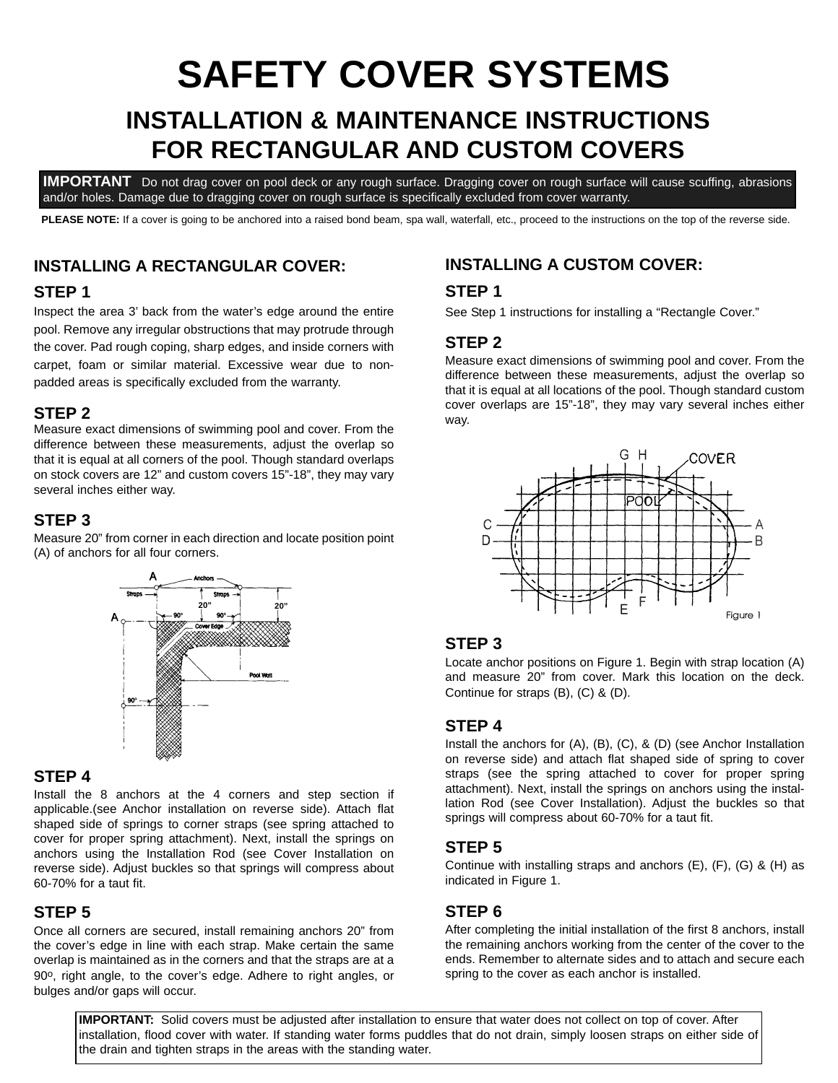# **INSTALLATION & MAINTENANCE INSTRUCTIONS FOR RECTANGULAR AND CUSTOM COVERS SAFETY COVER SYSTEMS**

**IMPORTANT** Do not drag cover on pool deck or any rough surface. Dragging cover on rough surface will cause scuffing, abrasions and/or holes. Damage due to dragging cover on rough surface is specifically excluded from cover warranty.

PLEASE NOTE: If a cover is going to be anchored into a raised bond beam, spa wall, waterfall, etc., proceed to the instructions on the top of the reverse side.

#### **INSTALLING A RECTANGULAR COVER:**

#### **STEP 1**

Inspect the area 3' back from the water's edge around the entire pool. Remove any irregular obstructions that may protrude through the cover. Pad rough coping, sharp edges, and inside corners with carpet, foam or similar material. Excessive wear due to nonpadded areas is specifically excluded from the warranty.

#### **STEP 2**

Measure exact dimensions of swimming pool and cover. From the difference between these measurements, adjust the overlap so that it is equal at all corners of the pool. Though standard overlaps on stock covers are 12" and custom covers 15"-18", they may vary several inches either way.

#### **STEP 3**

Measure 20" from corner in each direction and locate position point (A) of anchors for all four corners.



#### **STEP 4**

Install the 8 anchors at the 4 corners and step section if applicable.(see Anchor installation on reverse side). Attach flat shaped side of springs to corner straps (see spring attached to cover for proper spring attachment). Next, install the springs on anchors using the Installation Rod (see Cover Installation on reverse side). Adjust buckles so that springs will compress about 60-70% for a taut fit.

#### **STEP 5**

Once all corners are secured, install remaining anchors 20" from the cover's edge in line with each strap. Make certain the same overlap is maintained as in the corners and that the straps are at a 90o, right angle, to the cover's edge. Adhere to right angles, or bulges and/or gaps will occur.

### **INSTALLING A CUSTOM COVER:**

#### **STEP 1**

See Step 1 instructions for installing a "Rectangle Cover."

#### **STEP 2**

Measure exact dimensions of swimming pool and cover. From the difference between these measurements, adjust the overlap so that it is equal at all locations of the pool. Though standard custom cover overlaps are 15"-18", they may vary several inches either way.



#### **STEP 3**

Locate anchor positions on Figure 1. Begin with strap location (A) and measure 20" from cover. Mark this location on the deck. Continue for straps (B), (C) & (D).

#### **STEP 4**

Install the anchors for (A), (B), (C), & (D) (see Anchor Installation on reverse side) and attach flat shaped side of spring to cover straps (see the spring attached to cover for proper spring attachment). Next, install the springs on anchors using the installation Rod (see Cover Installation). Adjust the buckles so that springs will compress about 60-70% for a taut fit.

#### **STEP 5**

Continue with installing straps and anchors (E), (F), (G) & (H) as indicated in Figure 1.

### **STEP 6**

After completing the initial installation of the first 8 anchors, install the remaining anchors working from the center of the cover to the ends. Remember to alternate sides and to attach and secure each spring to the cover as each anchor is installed.

**IMPORTANT:** Solid covers must be adjusted after installation to ensure that water does not collect on top of cover. After installation, flood cover with water. If standing water forms puddles that do not drain, simply loosen straps on either side of the drain and tighten straps in the areas with the standing water.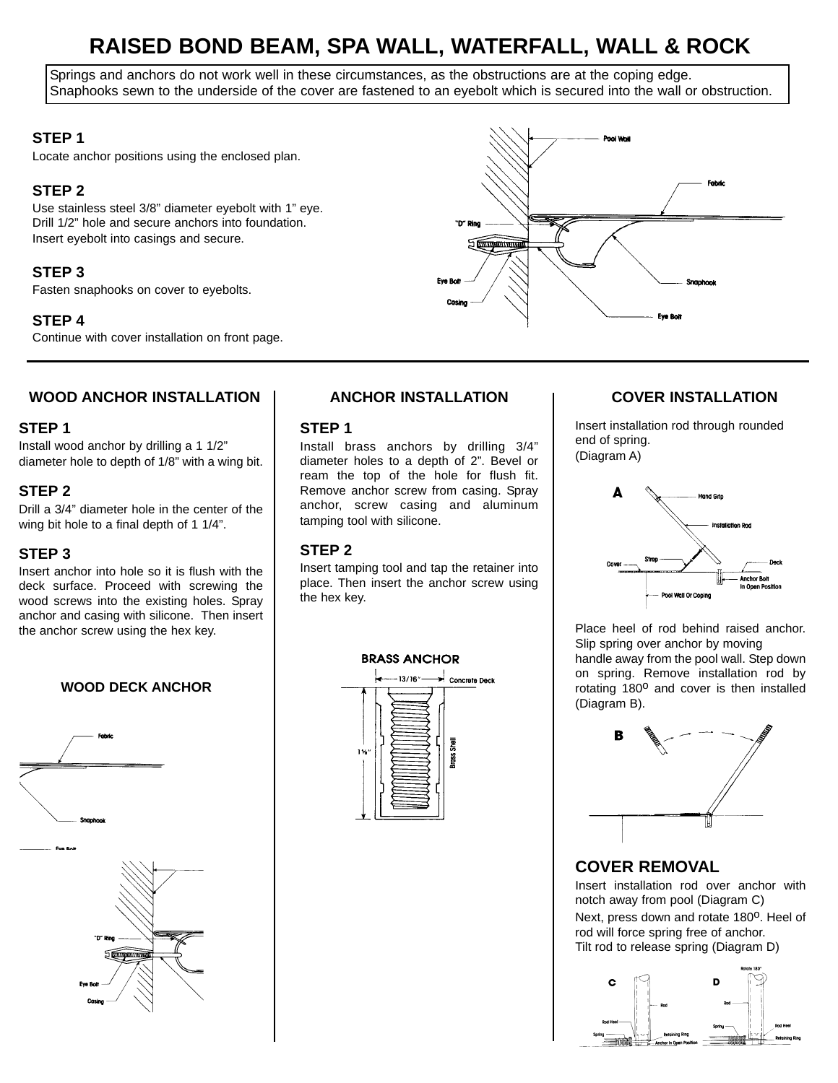# **RAISED BOND BEAM, SPA WALL, WATERFALL, WALL & ROCK**

Springs and anchors do not work well in these circumstances, as the obstructions are at the coping edge. Snaphooks sewn to the underside of the cover are fastened to an eyebolt which is secured into the wall or obstruction.

#### **STEP 1**

Locate anchor positions using the enclosed plan.

#### **STEP 2**

Use stainless steel 3/8" diameter eyebolt with 1" eye. Drill 1/2" hole and secure anchors into foundation. Insert eyebolt into casings and secure.

#### **STEP 3**

Fasten snaphooks on cover to eyebolts.

#### **STEP 4**

Continue with cover installation on front page.



#### **WOOD ANCHOR INSTALLATION**

#### **STEP 1**

Install wood anchor by drilling a 1 1/2" diameter hole to depth of 1/8" with a wing bit.

#### **STEP 2**

Drill a 3/4" diameter hole in the center of the wing bit hole to a final depth of 1 1/4".

#### **STEP 3**

Insert anchor into hole so it is flush with the deck surface. Proceed with screwing the wood screws into the existing holes. Spray anchor and casing with silicone. Then insert the anchor screw using the hex key.

**WOOD DECK ANCHOR**



### **ANCHOR INSTALLATION COVER INSTALLATION**

#### **STEP 1**

Install brass anchors by drilling 3/4" diameter holes to a depth of 2". Bevel or ream the top of the hole for flush fit. Remove anchor screw from casing. Spray anchor, screw casing and aluminum tamping tool with silicone.

#### **STEP 2**

Insert tamping tool and tap the retainer into place. Then insert the anchor screw using the hex key.



Insert installation rod through rounded end of spring. (Diagram A)



Place heel of rod behind raised anchor. Slip spring over anchor by moving handle away from the pool wall. Step down on spring. Remove installation rod by rotating 180<sup>o</sup> and cover is then installed (Diagram B).



### **COVER REMOVAL**

Insert installation rod over anchor with notch away from pool (Diagram C) Next, press down and rotate 180<sup>o</sup>. Heel of rod will force spring free of anchor. Tilt rod to release spring (Diagram D)